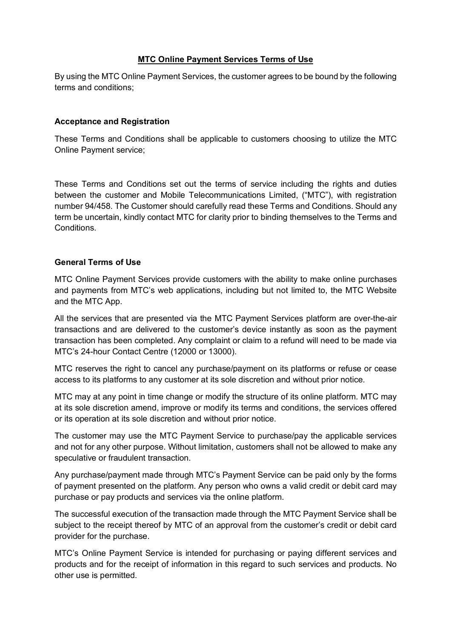## **MTC Online Payment Services Terms of Use**

By using the MTC Online Payment Services, the customer agrees to be bound by the following terms and conditions;

## **Acceptance and Registration**

These Terms and Conditions shall be applicable to customers choosing to utilize the MTC Online Payment service;

These Terms and Conditions set out the terms of service including the rights and duties between the customer and Mobile Telecommunications Limited, ("MTC"), with registration number 94/458. The Customer should carefully read these Terms and Conditions. Should any term be uncertain, kindly contact MTC for clarity prior to binding themselves to the Terms and Conditions.

## **General Terms of Use**

MTC Online Payment Services provide customers with the ability to make online purchases and payments from MTC's web applications, including but not limited to, the MTC Website and the MTC App.

All the services that are presented via the MTC Payment Services platform are over-the-air transactions and are delivered to the customer's device instantly as soon as the payment transaction has been completed. Any complaint or claim to a refund will need to be made via MTC's 24-hour Contact Centre (12000 or 13000).

MTC reserves the right to cancel any purchase/payment on its platforms or refuse or cease access to its platforms to any customer at its sole discretion and without prior notice.

MTC may at any point in time change or modify the structure of its online platform. MTC may at its sole discretion amend, improve or modify its terms and conditions, the services offered or its operation at its sole discretion and without prior notice.

The customer may use the MTC Payment Service to purchase/pay the applicable services and not for any other purpose. Without limitation, customers shall not be allowed to make any speculative or fraudulent transaction.

Any purchase/payment made through MTC's Payment Service can be paid only by the forms of payment presented on the platform. Any person who owns a valid credit or debit card may purchase or pay products and services via the online platform.

The successful execution of the transaction made through the MTC Payment Service shall be subject to the receipt thereof by MTC of an approval from the customer's credit or debit card provider for the purchase.

MTC's Online Payment Service is intended for purchasing or paying different services and products and for the receipt of information in this regard to such services and products. No other use is permitted.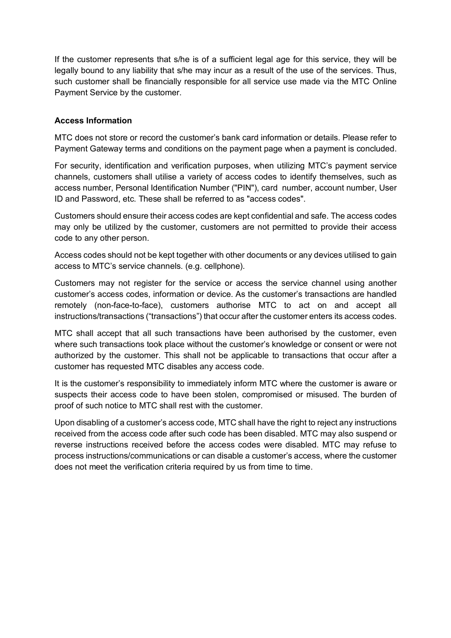If the customer represents that s/he is of a sufficient legal age for this service, they will be legally bound to any liability that s/he may incur as a result of the use of the services. Thus, such customer shall be financially responsible for all service use made via the MTC Online Payment Service by the customer.

## **Access Information**

MTC does not store or record the customer's bank card information or details. Please refer to Payment Gateway terms and conditions on the payment page when a payment is concluded.

For security, identification and verification purposes, when utilizing MTC's payment service channels, customers shall utilise a variety of access codes to identify themselves, such as access number, Personal Identification Number ("PIN"), card number, account number, User ID and Password, etc. These shall be referred to as "access codes".

Customers should ensure their access codes are kept confidential and safe. The access codes may only be utilized by the customer, customers are not permitted to provide their access code to any other person.

Access codes should not be kept together with other documents or any devices utilised to gain access to MTC's service channels. (e.g. cellphone).

Customers may not register for the service or access the service channel using another customer's access codes, information or device. As the customer's transactions are handled remotely (non-face-to-face), customers authorise MTC to act on and accept all instructions/transactions ("transactions") that occur after the customer enters its access codes.

MTC shall accept that all such transactions have been authorised by the customer, even where such transactions took place without the customer's knowledge or consent or were not authorized by the customer. This shall not be applicable to transactions that occur after a customer has requested MTC disables any access code.

It is the customer's responsibility to immediately inform MTC where the customer is aware or suspects their access code to have been stolen, compromised or misused. The burden of proof of such notice to MTC shall rest with the customer.

Upon disabling of a customer's access code, MTC shall have the right to reject any instructions received from the access code after such code has been disabled. MTC may also suspend or reverse instructions received before the access codes were disabled. MTC may refuse to process instructions/communications or can disable a customer's access, where the customer does not meet the verification criteria required by us from time to time.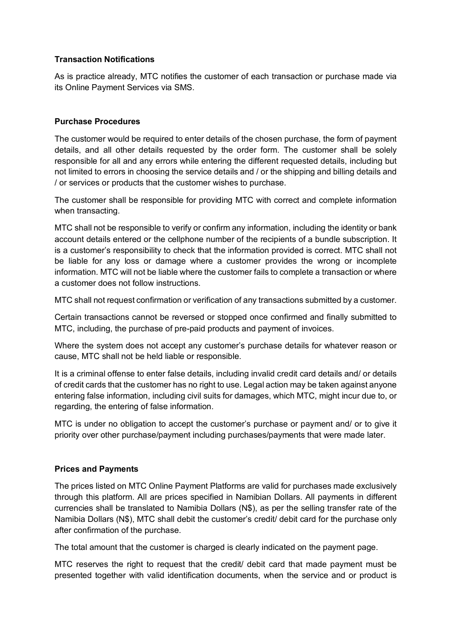## **Transaction Notifications**

As is practice already, MTC notifies the customer of each transaction or purchase made via its Online Payment Services via SMS.

# **Purchase Procedures**

The customer would be required to enter details of the chosen purchase, the form of payment details, and all other details requested by the order form. The customer shall be solely responsible for all and any errors while entering the different requested details, including but not limited to errors in choosing the service details and / or the shipping and billing details and / or services or products that the customer wishes to purchase.

The customer shall be responsible for providing MTC with correct and complete information when transacting.

MTC shall not be responsible to verify or confirm any information, including the identity or bank account details entered or the cellphone number of the recipients of a bundle subscription. It is a customer's responsibility to check that the information provided is correct. MTC shall not be liable for any loss or damage where a customer provides the wrong or incomplete information. MTC will not be liable where the customer fails to complete a transaction or where a customer does not follow instructions.

MTC shall not request confirmation or verification of any transactions submitted by a customer.

Certain transactions cannot be reversed or stopped once confirmed and finally submitted to MTC, including, the purchase of pre-paid products and payment of invoices.

Where the system does not accept any customer's purchase details for whatever reason or cause, MTC shall not be held liable or responsible.

It is a criminal offense to enter false details, including invalid credit card details and/ or details of credit cards that the customer has no right to use. Legal action may be taken against anyone entering false information, including civil suits for damages, which MTC, might incur due to, or regarding, the entering of false information.

MTC is under no obligation to accept the customer's purchase or payment and/ or to give it priority over other purchase/payment including purchases/payments that were made later.

### **Prices and Payments**

The prices listed on MTC Online Payment Platforms are valid for purchases made exclusively through this platform. All are prices specified in Namibian Dollars. All payments in different currencies shall be translated to Namibia Dollars (N\$), as per the selling transfer rate of the Namibia Dollars (N\$), MTC shall debit the customer's credit/ debit card for the purchase only after confirmation of the purchase.

The total amount that the customer is charged is clearly indicated on the payment page.

MTC reserves the right to request that the credit/ debit card that made payment must be presented together with valid identification documents, when the service and or product is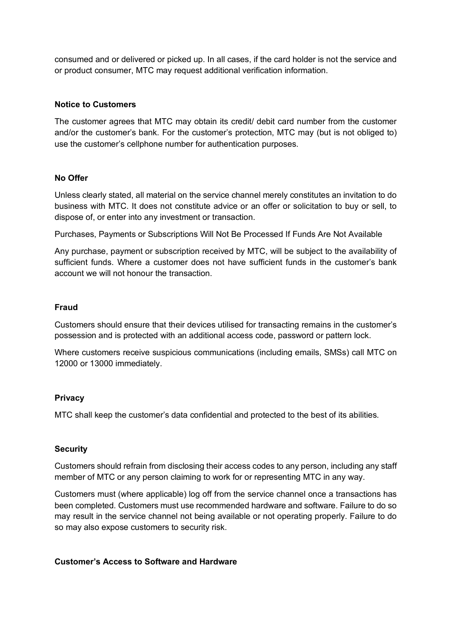consumed and or delivered or picked up. In all cases, if the card holder is not the service and or product consumer, MTC may request additional verification information.

#### **Notice to Customers**

The customer agrees that MTC may obtain its credit/ debit card number from the customer and/or the customer's bank. For the customer's protection, MTC may (but is not obliged to) use the customer's cellphone number for authentication purposes.

#### **No Offer**

Unless clearly stated, all material on the service channel merely constitutes an invitation to do business with MTC. It does not constitute advice or an offer or solicitation to buy or sell, to dispose of, or enter into any investment or transaction.

Purchases, Payments or Subscriptions Will Not Be Processed If Funds Are Not Available

Any purchase, payment or subscription received by MTC, will be subject to the availability of sufficient funds. Where a customer does not have sufficient funds in the customer's bank account we will not honour the transaction.

#### **Fraud**

Customers should ensure that their devices utilised for transacting remains in the customer's possession and is protected with an additional access code, password or pattern lock.

Where customers receive suspicious communications (including emails, SMSs) call MTC on 12000 or 13000 immediately.

#### **Privacy**

MTC shall keep the customer's data confidential and protected to the best of its abilities.

### **Security**

Customers should refrain from disclosing their access codes to any person, including any staff member of MTC or any person claiming to work for or representing MTC in any way.

Customers must (where applicable) log off from the service channel once a transactions has been completed. Customers must use recommended hardware and software. Failure to do so may result in the service channel not being available or not operating properly. Failure to do so may also expose customers to security risk.

#### **Customer's Access to Software and Hardware**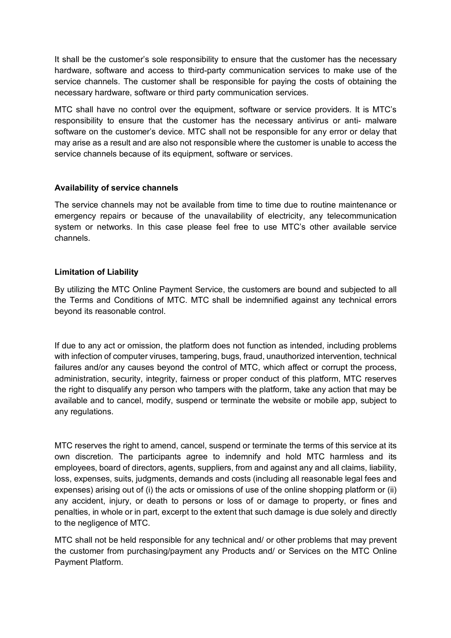It shall be the customer's sole responsibility to ensure that the customer has the necessary hardware, software and access to third-party communication services to make use of the service channels. The customer shall be responsible for paying the costs of obtaining the necessary hardware, software or third party communication services.

MTC shall have no control over the equipment, software or service providers. It is MTC's responsibility to ensure that the customer has the necessary antivirus or anti- malware software on the customer's device. MTC shall not be responsible for any error or delay that may arise as a result and are also not responsible where the customer is unable to access the service channels because of its equipment, software or services.

### **Availability of service channels**

The service channels may not be available from time to time due to routine maintenance or emergency repairs or because of the unavailability of electricity, any telecommunication system or networks. In this case please feel free to use MTC's other available service channels.

#### **Limitation of Liability**

By utilizing the MTC Online Payment Service, the customers are bound and subjected to all the Terms and Conditions of MTC. MTC shall be indemnified against any technical errors beyond its reasonable control.

If due to any act or omission, the platform does not function as intended, including problems with infection of computer viruses, tampering, bugs, fraud, unauthorized intervention, technical failures and/or any causes beyond the control of MTC, which affect or corrupt the process, administration, security, integrity, fairness or proper conduct of this platform, MTC reserves the right to disqualify any person who tampers with the platform, take any action that may be available and to cancel, modify, suspend or terminate the website or mobile app, subject to any regulations.

MTC reserves the right to amend, cancel, suspend or terminate the terms of this service at its own discretion. The participants agree to indemnify and hold MTC harmless and its employees, board of directors, agents, suppliers, from and against any and all claims, liability, loss, expenses, suits, judgments, demands and costs (including all reasonable legal fees and expenses) arising out of (i) the acts or omissions of use of the online shopping platform or (ii) any accident, injury, or death to persons or loss of or damage to property, or fines and penalties, in whole or in part, excerpt to the extent that such damage is due solely and directly to the negligence of MTC.

MTC shall not be held responsible for any technical and/ or other problems that may prevent the customer from purchasing/payment any Products and/ or Services on the MTC Online Payment Platform.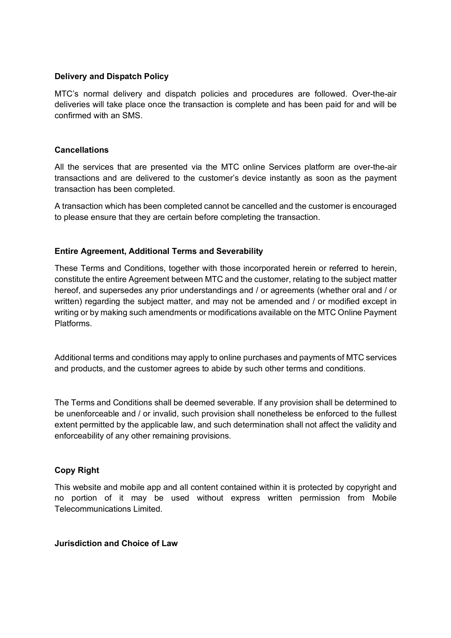## **Delivery and Dispatch Policy**

MTC's normal delivery and dispatch policies and procedures are followed. Over-the-air deliveries will take place once the transaction is complete and has been paid for and will be confirmed with an SMS.

### **Cancellations**

All the services that are presented via the MTC online Services platform are over-the-air transactions and are delivered to the customer's device instantly as soon as the payment transaction has been completed.

A transaction which has been completed cannot be cancelled and the customer is encouraged to please ensure that they are certain before completing the transaction.

## **Entire Agreement, Additional Terms and Severability**

These Terms and Conditions, together with those incorporated herein or referred to herein, constitute the entire Agreement between MTC and the customer, relating to the subject matter hereof, and supersedes any prior understandings and / or agreements (whether oral and / or written) regarding the subject matter, and may not be amended and / or modified except in writing or by making such amendments or modifications available on the MTC Online Payment Platforms.

Additional terms and conditions may apply to online purchases and payments of MTC services and products, and the customer agrees to abide by such other terms and conditions.

The Terms and Conditions shall be deemed severable. If any provision shall be determined to be unenforceable and / or invalid, such provision shall nonetheless be enforced to the fullest extent permitted by the applicable law, and such determination shall not affect the validity and enforceability of any other remaining provisions.

# **Copy Right**

This website and mobile app and all content contained within it is protected by copyright and no portion of it may be used without express written permission from Mobile Telecommunications Limited.

## **Jurisdiction and Choice of Law**